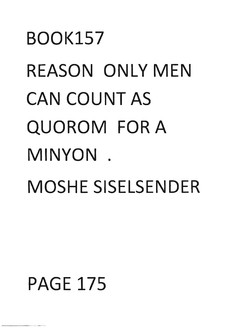## BOOK157 REASON ONLY MEN CAN COUNT AS QUOROM FOR A MINYON . MOSHE SISELSENDER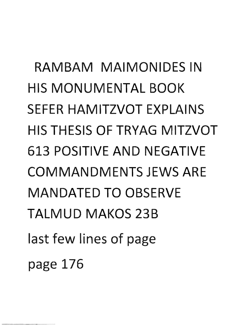**RAMBAM MAIMONIDES IN**  HIS **MONUMENTAL BOOK**  SEFER **HAMITZVOT** EXPLAINS HIS THESIS **OF TRYAG MITZVOT 613 POSITIVE AND NEGATIVE COMMANDMENTS** JEWS ARE **MANDATED TO** OBSERVE **TALMUD MAKOS** 23B last few lines of page page 176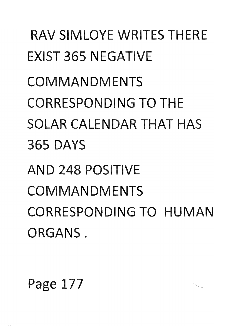**RAV** SIMLOYE WRITES THERE EXIST 365 NEGATIVE **COMMANDMENTS**  CORRESPONDING **TO** THE SOLAR CALENDAR **THAT** HAS 365 DAYS **AN D** 248 POSITIVE **COMMANDMENTS**  CORRESPONDING **TO HUMAN**  ORGANS.

Page 177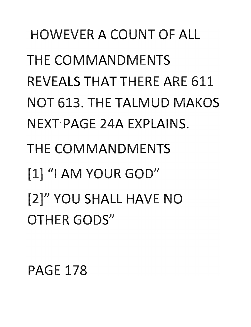HOWEVER **A COUNT** OF ALL THE COMMANDMENTS **REVEALS THAT THERE ARE 611 NOT 613. THE TALMUD MAKOS** NEXT PAGE 24A EXPLAINS. THE COMMANDMENTS [1] "I **AM** YOUR GOD" [2]" **YOU** SHALL HAVE **NO OTHER GODS"**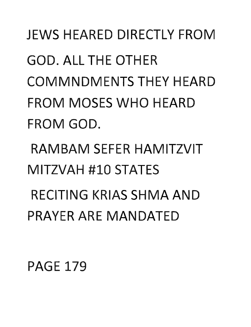## JEWS HEARED DIRECTLY FROM GOD. ALL **TH E OTH** ER COMMNDMENTS THEY HEARD FROM MOSES **WHO** HEARD FROM GOD.

RAMBAM SEFER HAMITZVIT MITZVAH #10 STATES

RECITING KRIAS SHMA **AND**  PRAYER ARE MANDATE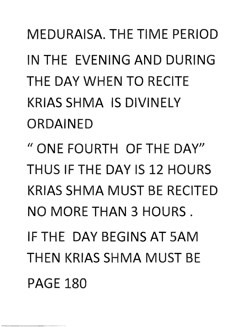MEDURAISA. THE TIME PERIOD IN THE EVENING **AND** DURING THE **DAY** WHEN **TO** RECITE KRIAS SHMA IS DIVINELY **ORDAINED** 

II ONE FOURTH OF THE DAY" THUS IF THE **DAY** IS 12 HOURS KRIAS SHMA MUST BE RECITED **NO** MORE **THAN** 3 HOURS. IF **T DAY** BEGINS **AT** SAM THEN KRIAS SHMA MUST BE PAGE 180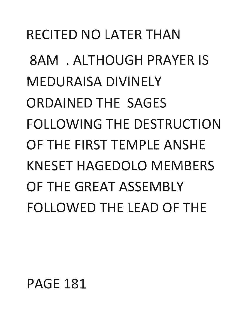## RECITED NO LATER THAN

8AM . ALTHOUGH PRAYER IS MEDURAISA DIVINELY ORDAINED THE SAGES FOLLOWING THE DESTRUCTION OF THE FIRST TEMPLE ANSHE KNESET HAGEDOLO MEMBERS OF THE GREAT ASSEMBLY FOLLOWED THE LEAD OF THE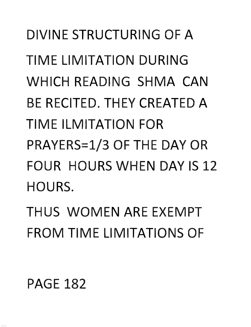DIVINE STRUCTURING OF A TIME LIMITATION DURING WHICH READING SHMA **CAN**  BE RECITED. THEY CREATED A TIME ILMITATION FOR P,RAYERS=1/3 OF THE **DAY** OR FOUR HOURS WHEN **DAY** IS 12 HOURS.

THUS WOMEN ARE EXEMPT FROM TIME LIMITATIONS OF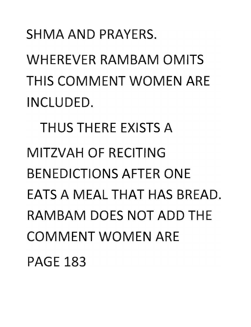## SHMA AND PRAYERS.

WHEREVER RAMBAM OMITS THIS COMMENT WOMEN ARE INCLUDED.

THUS THERE EXISTS A MITZVAH OF RECITING BENEDICTIONS AFTER ONE EATS A MEAL THAT HAS BREAD. RAMBAM DOES NOT ADD THE COMMENT WOMEN ARE **PAGE 183**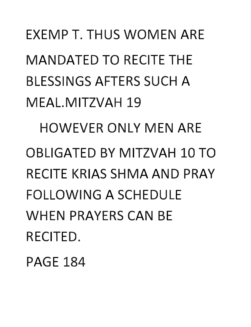EXEMP T. THUS WOMEN ARE MANDATED TO RECITE THE BLESSINGS AFTERS SUCH A MEAL.MITZVAH 19 HOWEVER ONLY MEN AR OBLIGATED BY MITZVAH 10 TO RECITE KRIAS SHMA AND PRAY FOLLOWING A SCHEDULE WHEN PRAYERS CAN BE RECITED.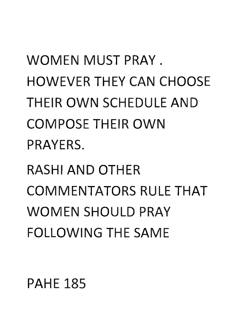**THEIR OWN SCHEDULE AND COMPOSE THEIR OWN** PRAYERS. RASHI **AND** OTHER COMMENTATORS RULE **THAT**  WOMEN SHOULD PRAY **FOLLOWING THE SAME** 

HOWEVER THEY **CAN** CHOOSE

WOMEN MUST PRAY.

PAHE 185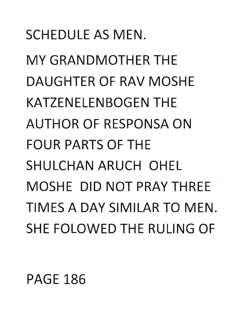## SCHEDULE AS MEN.

MY GRANDMOTHER THE DAUGHTER OF RAV MOSHE KATZENELENBOGEN THE AUTHOR OF RESPONSA ON FOUR PARTS OF THE SHULCHAN ARUCH OHEL MOSHE DID NOT PRAY THREE TIMES A DAY SIMILAR TO MEN. SHE FOLOWED THE RULING OF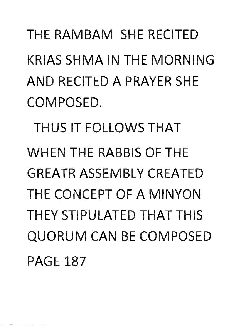## THE RAMBAM SHE RECITED KRIAS SHMA IN THE MORNING AND RECITED A PRAYER SHE COMPOSED.

THUS IT FOLLOWS THAT WHEN THE RABBIS OF THE GREATR ASSEMBLY CREATED THE CONCEPT OF A MINYON THEY STIPULATED THAT THIS QUORUM CAN BE COMPOSED PAGE 187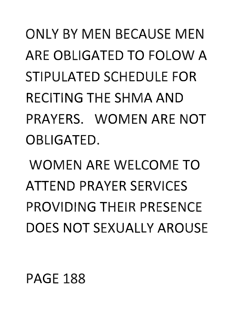ONLY BY MEN BECAUSE MEN ARE OBLIGATED **TO** FOLOW A STIPULATED SCHEDULE FOR RECITING THE SHMA **AND**  PRAYERS. WOMEN ARE **NOT**  OBLIGATED.

WOMEN ARE WELCOME **TO**  ATTEND PRAYER SERVICES PROVIDING THEIR PRESENCE DOES **NOT** SEXUALLY AROUSE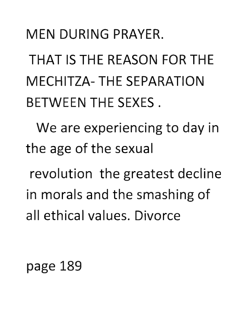## **MEN DURING PRAYER.**

**THAT IS THE REASON FOR THE MECHITZA- THE SEPARATION BETWEEN THE SEXES.** 

**We** are experiencing to day in the age of the sexual

revolution the greatest decline in morals and the smashing of all ethical values. Divorce

page **189**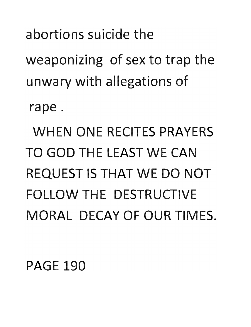abortions suicide the

weaponizing of sex to trap the unwary with allegations of

rape.

WHEN ONE RECITES PRAYERS TO GOD THE LEAST WE CAN REQUEST IS THAT WE DO NOT FOLLOW THE DESTRUCTIVE MORAL DECAY OF OUR TIMES.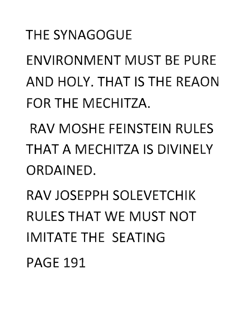#### THE SYNAGOGUE

ENVIRONMENT MUST BE PURE **AND HOLY. THAT IS THE REAON** FOR THE MECHITZA.

RAV MOSHE FEINSTEIN RULES **THAT A** MECHITZA IS DIVINELY ORDAINED.

RAV JOSEPPH SOLEVETCHIK RULES **THAT** WE MUST **NOT**  IMITATE THE SEATING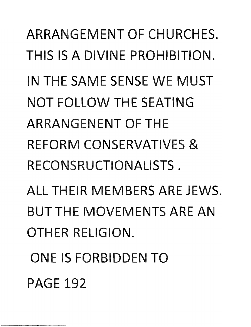ARRANGEMENT OF CHURCHES. THIS IS A DIVINE PROHIBITION. IN THE SAME SENSE WE MUST **NOT** FOLLOW THE SEATING ARRANGENENT OF THE REFORM CONSERVATIVES & RECONSRUCTIONALISTS . ALL THEIR MEMBERS ARE JEWS. BUT THE MOVEMENTS ARE **AN** 

OTHER RELIGION.

**ONE IS FORBIDDEN TO** PAGE 192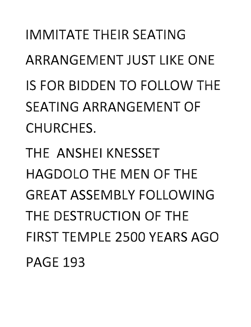**IMMITATE THEIR SEATING ARRANGEMENT JUST LIKE ONE** IS FOR IDDEN **TO** FOLLOW THE SEATING ARRANGEMENT OF CHURCHES.

**THE ANSHEI KNESSET HAGDOLO THE MEN OF THE GREAT ASSEMBLY FOLLOWING** THE DESTRUCTION OF THE **FIRST TEMPLE 2500 YEARS AGO** PAGE 193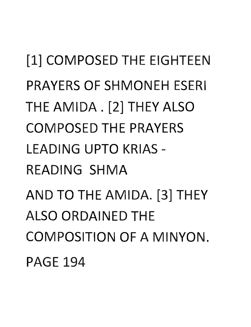[1] COMPOSED THE EIGHTEEN PRAYERS OF SHMONEH ESERI THE AMIDA . [2] THEY ALSO COMPOSED THE PRAYERS LEADING UPTO KRIAS -READING SHMA AND TO THE AMIDA. [3] THEY **ALSO ORDAINED THE** COMPOSITION OF A MINYON. PAGE 194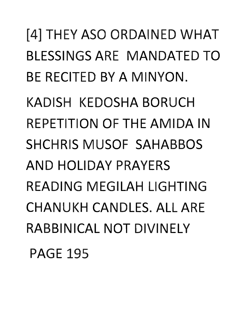[4] THEY ASO ORDAINED WHAT BLESSINGS ARE MANDATED TO BE RECITED BY A MINYON. KADISH KEDOSHA BORUCH REPETITION OF THE AMIDA IN SHCHRIS MUSOF SAHABBOS AND HOLIDAY PRAYERS READING MEGILAH LIGHTING CHANUKH CANDLES. ALL ARE RABBINICAL NOT DIVINELY PAGE 195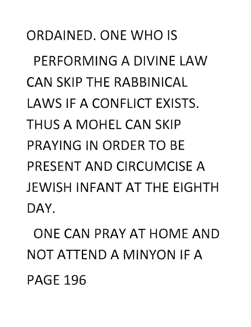ORDAINED. ONE **WHO** IS PERFORMING A DIVINE lAW **CAN SKIP THE RABBINICAL** LAWS IF A CONFLICT EXISTS. THUS A MOHEl **CAN** SKIP PRAYING IN ORDER **TO** BE PRESENT **AND** CIRCUMCISE A **JEWISH INFANT AT THE EIGHTH** DAY.

ONE **CAN** PRAY **AT** HOME **AND NOT** ATTEND A MINYON IF A **PAGE 196**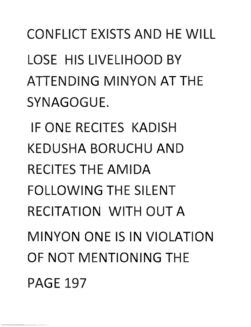CONFLICT EXISTS **AND** HE WILL LOSE HIS LIVELIHOOD BY **ATTENDING MINYON AT THE** SYNAGOGUE.

IF ONE RECITES KADISH **KEDUSHA BORUCHU AND RECITES THE AMIDA FOLLOWING THE SILENT** RECITATION WITH **OUT A MINYON ONE IS IN VIOLATION** OF NOT MENTIONING THE PAGE 197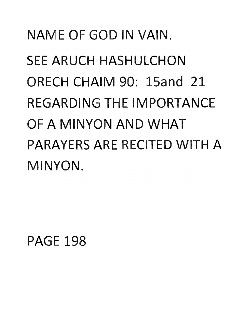## NAME OF **GOD** IN VAIN. SEE ARUCH HASHULCHON ORECH CHAIM 90: 15and 21 REGARDING THE IMPORTANCE OF A MINYaN **AND WHAT**  PARAYERS ARE RECITED WITH A MINYON.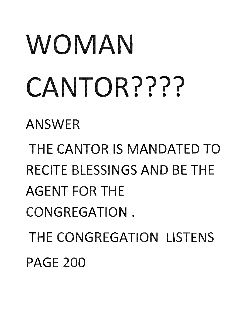# **WOMAN CANTOR????**

ANSWER

**THE CANTOR IS MANDATED TO** RECITE BLESSINGS AND BE THE **AGENT FOR THE** CONGREGATION. THE CONGREGATION LISTENS **PAGE 200**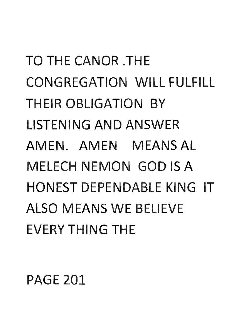**TO** THE CANOR .THE CONGREGATION WILL FULFILL THEIR OBLIGATION BY **LISTENING AND ANSWER** AMEN. AMEN MEANS AL **MELECH NEMON GOD IS A** HONEST DEPENDABLE KING IT ALSO MEANS WE BELIEVE EVERY THING THE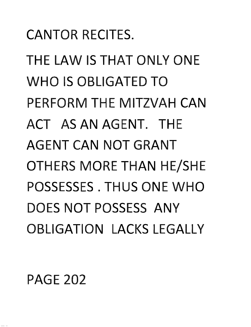## CANTOR RECITES.

THE LAW IS **THAT** ONLY ONE **WHO** IS OBLIGATED **TO**  PERFORM THE MITZVAH **CAN ACT AS AN** AGENT. THE AGENT **CAN NOT** GRANT **OTHERS MORE THAN HE/SHE** POSSESSES. THUS ONE **WHO**  DOES **NOT** POSSESS **ANY**  OBLIGATION LACKS LEGALLY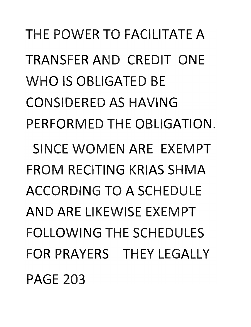THE POWER **TO** FACILITATE A TRANSFER **AND** CREDIT ONE **WHO** IS OBLIGATED BE CONSIDERED AS HAVING PERFORMED THE OBLIGATION. SINCE WOMEN ARE EXEMPT FROM RECITING KRIAS SHMA ACCORDING **TO A** SCHEDULE **AN DARE** LI KEWISE EXEM PT FOLLOWING THE SCHEDULES FOR PRAYERS THEY LEGALLY PAGE 203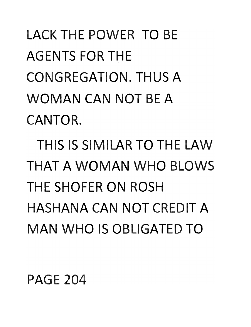LACK THE POWER TO BE AGENTS FOR THE CONGREGATION. THUS A **WOMAN CAN NOT** BE A CANTOR.

HIS IS SIMILAR **TO** THE LAW **THAT A WOMAN WHO BLOWS** THE SHOFER **ON** ROSH **HASHANA CAN NOT CREDIT A MAN WHO IS OBLIGATED TO**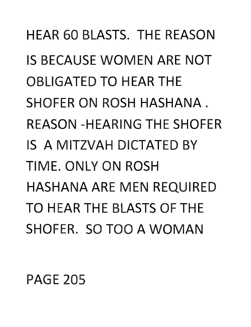**HEAR 60 BLASTS. THE REASON IS BECAUSE WOMEN ARE NOT OBLIGATED TO HEAR THE** SHOFER ON ROSH HASHANA. RFASON -HFARING THE SHOFER IS A MITZVAH DICTATED BY TIME. ONLY **ON** ROSH HASHANA ARE MEN REQUIRED **TO** HEAR THE BLASTS OF THE SHOFER. SO TOO A WOMAN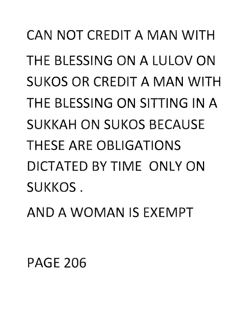**CAN NOT CREDIT A MAN WITH** BLESSING **ON A** LULOV **ON**  SUKOS OR CREDIT **A MAN** WITH THE BLESSING **ON** SITTING IN A SUKKAH **ON** SUKOS BECAUSE THESE ARE OBLIGATIONS **DICTATED BY TIME ONLY ON** SUKKOS.

**AND A WOMAN** IS EXEMPT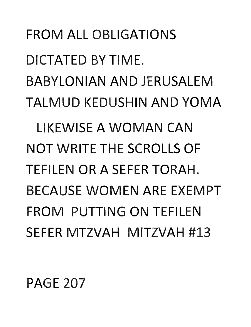#### PAGE 207

DICTATED BY TIME. BABYLONIAN AND JERUSALEM TALMUD KEDUSHIN AND YOMA LIKEWISE A WOMAN CAN NOT WRITE THE SCROLLS OF TEFILEN OR A SEFER TORAH. BECAUSE WOMEN ARE EXEMPT FROM PUTTING ON TEFILEN SEFER MTZVAH MITZVAH #13

FROM ALL OBLIGATIONS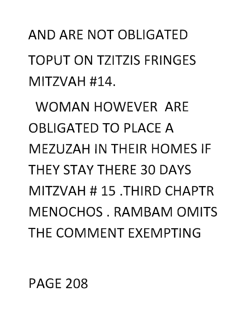**AND** ARE **NOT 0** IGATED TOPUT **ON** TZITZIS FRINGES MITZVAH #14.

**WOMAN** HOWEVER ARE **OBLIGATED TO PLACE A** MEZUZAH IN THEIR HOMES IF THEY STAY THERE 30 DAYS MITZVAH # 15 .THIRD CHAPTR MENOCHOS, RAMBAM OMITS THE COMMENT EXEMPTING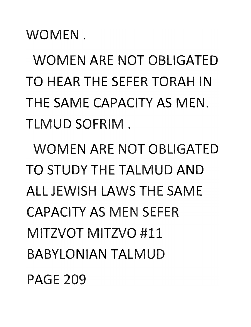WOMEN.

WOMEN ARE **NOT** OBLIGATED **TO** HEAR THE SEFER TORAH IN THE SAME CAPACITY AS MEN. LMUD SOFRIM .

WOMEN ARE **NOT** OBLIGATED **TO** STUDY THE TALMUD **AND**  ALL JEWISH LAWS THE SAME CAPACITY AS MEN SEFER MITZVOT MITZVO #11 BABYLONIAN TALMUD PAGE 209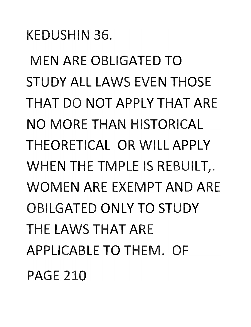KEDUSHIN 36.

MEN ARE OBLIGATED **TO**  STUDY ALL LAWS EVEN THOSE **THAT DO NOT** APPLY **THAT** ARE **NO** MORE **THAN** HISTORICAL THEORETICAL **OR** WILL APPLY WHEN THE TMPLE IS REBUILT,. WOMEN ARE EXEMPT **AND** ARE OBILGATED ONLY **TO** STUDY THE LAWS **THAT** ARE APPLICABLE **TO** THEM. OF PAGE 210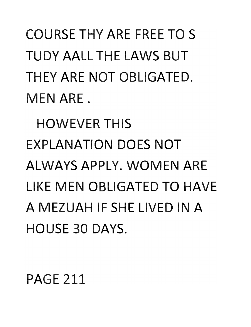COURSE **THY** ARE FREE **TO** S **TUDY** AALL THE LAWS BUT THEY ARE **NOT** OBLIGATED. MEN ARE.

HOWEVER THIS EXPLANATION DOES **NOT**  ALWAYS APPLY. WOMEN ARE LIKE MEN OBLIGATED **TO** HAVE A MEZUAH IF SHE LIVED IN A HOUSE 30 DAYS.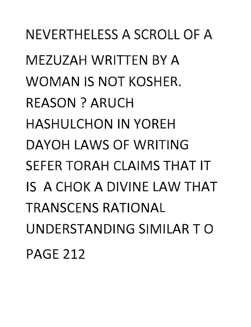NEVERTHELESS A SCROLL OF A MEZUZAH WRITTEN BY A WOMAN IS NOT KOSHER. REASON? ARUCH HASHULCHON IN YOREH **DAYOH** LAWS OF WRITING **SEFER TORAH CLAIMS THAT IT IS A CHOK A DIVINE LAW THAT** TRANSCENS RATIONAL UNDERSTANDING SIMILAR TO PAGE 212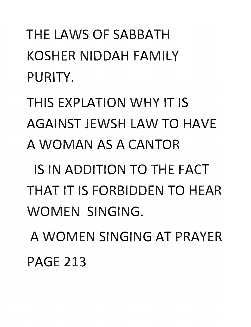THE LAWS OF SABBATH KOSHER NIDDAH FAMILY PURITY.

THIS EXPLATION **WHY** IT IS AGAINST JEWSH LAW **TO** HAVE **A WOMAN** AS A CANTOR

IS IN ADDITION **TO** THE FACT **THAT** IT IS FORBIDDEN **TO** HEAR WOMEN SINGING.

A WOMEN SINGING **AT** PRAYER PAGE 213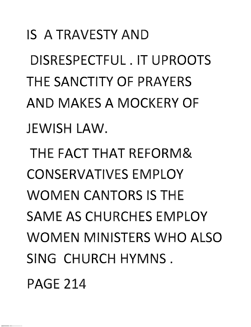IS A TRAVESTY **AND**  DISRESPECTFUL. IT UPROOTS THE SANCTITY OF PRAYERS **AND** MAKES A MOCKERY OF JEWISH LAW.

**THE FACT THAT REFORM&** CONSERVATIVES EMPLOY WOMEN CANTORS IS THE SAME AS CHURCHES EMPLOY WOMEN MINISTERS **WHO** ALSO SING CHURCH HYMNS.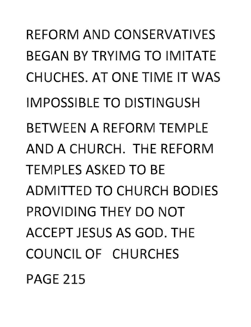REFORM **AND** CONSERVATIVES BEGAN BY TRYIMG **TO** IMITATE CHUCHES. **AT** ONE TIME IT WAS IMPOSSIBLE **TO** DISTINGUSH BETWEEN A REFORM TEMPLE **AND A** CHURCH. THE REFORM TEMPLES ASKED **TO** BE ADMITTED **TO** CHURCH BODIES PROVIDING THEY **DO NOT**  ACCEPT JESUS AS GOD. THE COUNCIL OF CHURCHES PAGE 215